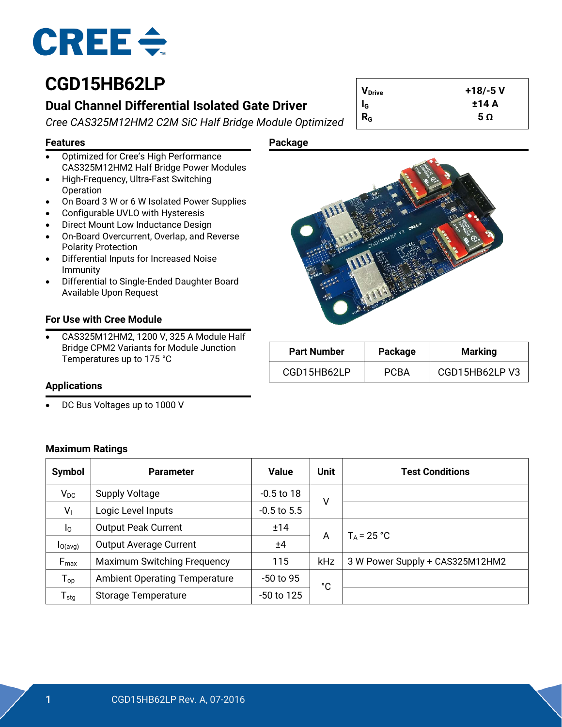

## **CGD15HB62LP**

### **Dual Channel Differential Isolated Gate Driver**

*Cree CAS325M12HM2 C2M SiC Half Bridge Module Optimized*

**Features Package**

- Optimized for Cree's High Performance CAS325M12HM2 Half Bridge Power Modules
- High-Frequency, Ultra-Fast Switching Operation
- On Board 3 W or 6 W Isolated Power Supplies
- Configurable UVLO with Hysteresis
- Direct Mount Low Inductance Design
- On-Board Overcurrent, Overlap, and Reverse Polarity Protection
- Differential Inputs for Increased Noise Immunity
- Differential to Single-Ended Daughter Board Available Upon Request

#### **For Use with Cree Module**

• CAS325M12HM2, 1200 V, 325 A Module Half Bridge CPM2 Variants for Module Junction Temperatures up to 175 °C



**VDrive +18/-5 V IG ±14 A**  $R_G$  **5**  $\Omega$ 

| <b>Part Number</b> | Package     | <b>Marking</b> |
|--------------------|-------------|----------------|
| CGD15HB62LP        | <b>PCRA</b> | CGD15HB62LP V3 |

#### **Applications**

• DC Bus Voltages up to 1000 V

| <b>Maximum Ratings</b> |  |
|------------------------|--|
|------------------------|--|

| <b>Symbol</b>               | <b>Parameter</b>                     | <b>Value</b>    | <b>Unit</b> | <b>Test Conditions</b>          |
|-----------------------------|--------------------------------------|-----------------|-------------|---------------------------------|
| $V_{DC}$                    | <b>Supply Voltage</b>                | $-0.5$ to 18    | ٧           |                                 |
| V <sub>1</sub>              | Logic Level Inputs                   | $-0.5$ to $5.5$ |             |                                 |
| I <sub>0</sub>              | <b>Output Peak Current</b>           | ±14             |             | $T_A = 25 °C$                   |
| $I_{O(\text{avg})}$         | <b>Output Average Current</b>        | ±4              | A           |                                 |
| $F_{\text{max}}$            | <b>Maximum Switching Frequency</b>   | 115             | kHz         | 3 W Power Supply + CAS325M12HM2 |
| $T_{op}$                    | <b>Ambient Operating Temperature</b> | $-50$ to 95     | °C          |                                 |
| $\mathsf{T}_{\textsf{stg}}$ | <b>Storage Temperature</b>           | -50 to 125      |             |                                 |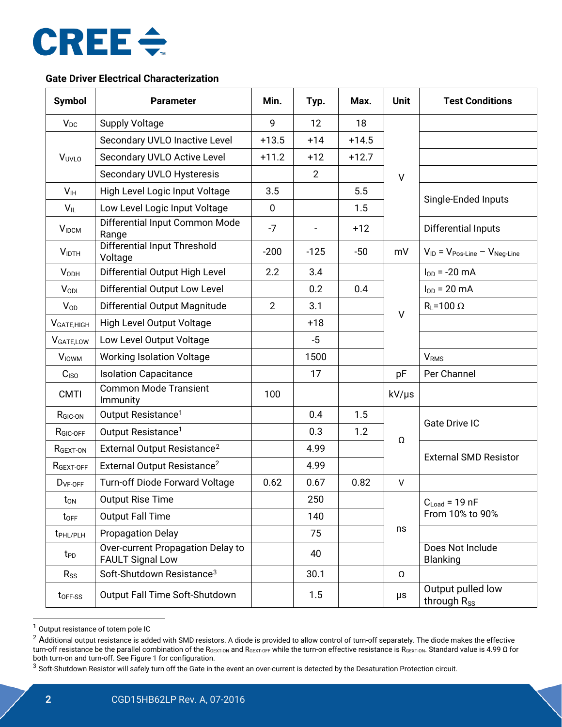

#### **Gate Driver Electrical Characterization**

| <b>Symbol</b>            | <b>Parameter</b>                                             | Min.           | Typ.   | Max.    | <b>Unit</b>                                                | <b>Test Conditions</b>       |  |
|--------------------------|--------------------------------------------------------------|----------------|--------|---------|------------------------------------------------------------|------------------------------|--|
| $V_{DC}$                 | <b>Supply Voltage</b>                                        | 9              | 12     | 18      |                                                            |                              |  |
|                          | Secondary UVLO Inactive Level                                | $+13.5$        | $+14$  | $+14.5$ |                                                            |                              |  |
| VUVLO                    | Secondary UVLO Active Level                                  | $+11.2$        | $+12$  | $+12.7$ |                                                            |                              |  |
|                          | Secondary UVLO Hysteresis                                    | $\overline{2}$ |        |         | $\vee$                                                     |                              |  |
| V <sub>IH</sub>          | High Level Logic Input Voltage                               | 3.5            |        | 5.5     | Single-Ended Inputs                                        |                              |  |
| $V_{IL}$                 | Low Level Logic Input Voltage                                | $\mathbf 0$    |        | 1.5     |                                                            |                              |  |
| $V_{IDCM}$               | Differential Input Common Mode<br>Range                      | $-7$           |        | $+12$   |                                                            | Differential Inputs          |  |
| <b>VIDTH</b>             | <b>Differential Input Threshold</b><br>Voltage               | $-200$         | $-125$ | $-50$   | mV<br>$V_{ID} = V_{Pos\text{-}Line} - V_{Neg\text{-}Line}$ |                              |  |
| <b>VODH</b>              | Differential Output High Level                               | 2.2            | 3.4    |         | $I_{OD} = -20$ mA                                          |                              |  |
| <b>VODL</b>              | Differential Output Low Level                                |                | 0.2    | 0.4     |                                                            | $I_{OD} = 20$ mA             |  |
| $V_{OD}$                 | Differential Output Magnitude                                | $\overline{2}$ | 3.1    |         |                                                            | $R_L = 100 \Omega$           |  |
| V <sub>GATE, HIGH</sub>  | High Level Output Voltage                                    |                | $+18$  |         | V                                                          |                              |  |
| V <sub>GATE,LOW</sub>    | Low Level Output Voltage                                     |                | $-5$   |         |                                                            |                              |  |
| <b>V</b> <sub>IOWM</sub> | <b>Working Isolation Voltage</b>                             |                | 1500   |         |                                                            | <b>V<sub>RMS</sub></b>       |  |
| C <sub>ISO</sub>         | <b>Isolation Capacitance</b>                                 |                | 17     |         | pF                                                         | Per Channel                  |  |
| <b>CMTI</b>              | <b>Common Mode Transient</b><br>Immunity                     | 100            |        |         | kV/µs                                                      |                              |  |
| R <sub>GIC-ON</sub>      | Output Resistance <sup>1</sup>                               |                | 0.4    | 1.5     | <b>Gate Drive IC</b>                                       |                              |  |
| R <sub>GIC-OFF</sub>     | Output Resistance <sup>1</sup>                               |                | 0.3    | 1.2     | $\Omega$                                                   |                              |  |
| R <sub>GEXT-ON</sub>     | External Output Resistance <sup>2</sup>                      |                | 4.99   |         |                                                            | <b>External SMD Resistor</b> |  |
| RGEXT-OFF                | External Output Resistance <sup>2</sup>                      |                | 4.99   |         |                                                            |                              |  |
| $DVF-OFF$                | Turn-off Diode Forward Voltage                               | 0.62           | 0.67   | 0.82    | V                                                          |                              |  |
| $t_{\text{ON}}$          | <b>Output Rise Time</b>                                      |                | 250    |         | $C_{\text{Load}} = 19 \text{ nF}$<br>From 10% to 90%       |                              |  |
| toff                     | <b>Output Fall Time</b>                                      |                | 140    |         |                                                            |                              |  |
| t <sub>PHL/PLH</sub>     | <b>Propagation Delay</b>                                     |                | 75     |         | ns                                                         |                              |  |
| t <sub>PD</sub>          | Over-current Propagation Delay to<br><b>FAULT Signal Low</b> |                | 40     |         | Does Not Include<br><b>Blanking</b>                        |                              |  |
| $R_{SS}$                 | Soft-Shutdown Resistance <sup>3</sup>                        |                | 30.1   |         | Ω                                                          |                              |  |
| t <sub>OFF-SS</sub>      | Output Fall Time Soft-Shutdown                               |                | 1.5    |         | Output pulled low<br>μs<br>through $R_{SS}$                |                              |  |

<span id="page-1-3"></span><span id="page-1-0"></span> <sup>1</sup> Output resistance of totem pole IC

<span id="page-1-1"></span> $2$  Additional output resistance is added with SMD resistors. A diode is provided to allow control of turn-off separately. The diode makes the effective turn-off resistance be the parallel combination of the R<sub>GEXT-ON</sub> and R<sub>GEXT-OFF</sub> while the turn-on effective resistance is R<sub>GEXT-ON</sub>. Standard value is 4.99 Ω for both turn-on and turn-off. See Figure 1 for configuration.

<span id="page-1-2"></span><sup>&</sup>lt;sup>3</sup> Soft-Shutdown Resistor will safely turn off the Gate in the event an over-current is detected by the Desaturation Protection circuit.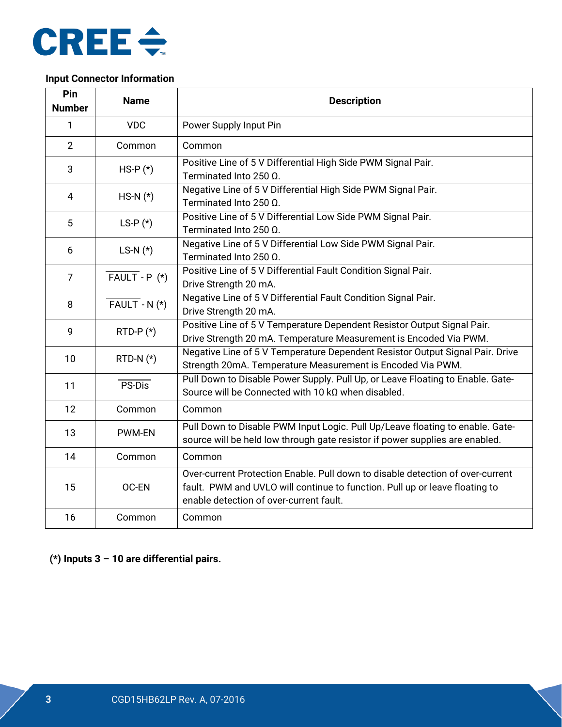

#### **Input Connector Information**

| Pin<br><b>Number</b> | <b>Name</b>                  | <b>Description</b>                                                                                                                                                                                       |
|----------------------|------------------------------|----------------------------------------------------------------------------------------------------------------------------------------------------------------------------------------------------------|
| 1                    | <b>VDC</b>                   | Power Supply Input Pin                                                                                                                                                                                   |
| $\overline{2}$       | Common                       | Common                                                                                                                                                                                                   |
| 3                    | $HS-P(*)$                    | Positive Line of 5 V Differential High Side PWM Signal Pair.<br>Terminated Into 250 $\Omega$ .                                                                                                           |
| 4                    | $HS-N$ $(*)$                 | Negative Line of 5 V Differential High Side PWM Signal Pair.<br>Terminated Into 250 $\Omega$ .                                                                                                           |
| 5                    | LS-P $(*)$                   | Positive Line of 5 V Differential Low Side PWM Signal Pair.<br>Terminated Into 250 $\Omega$ .                                                                                                            |
| 6                    | LS-N $(*)$                   | Negative Line of 5 V Differential Low Side PWM Signal Pair.<br>Terminated Into 250 Ω.                                                                                                                    |
| $\overline{7}$       | $\overline{FAULT}$ - P $(*)$ | Positive Line of 5 V Differential Fault Condition Signal Pair.<br>Drive Strength 20 mA.                                                                                                                  |
| 8                    | $\overline{FAULT}$ - N $(*)$ | Negative Line of 5 V Differential Fault Condition Signal Pair.<br>Drive Strength 20 mA.                                                                                                                  |
| 9                    | $RTD-P(*)$                   | Positive Line of 5 V Temperature Dependent Resistor Output Signal Pair.<br>Drive Strength 20 mA. Temperature Measurement is Encoded Via PWM.                                                             |
| 10                   | RTD-N $(*)$                  | Negative Line of 5 V Temperature Dependent Resistor Output Signal Pair. Drive<br>Strength 20mA. Temperature Measurement is Encoded Via PWM.                                                              |
| 11                   | PS-Dis                       | Pull Down to Disable Power Supply. Pull Up, or Leave Floating to Enable. Gate-<br>Source will be Connected with 10 $k\Omega$ when disabled.                                                              |
| 12                   | Common                       | Common                                                                                                                                                                                                   |
| 13                   | <b>PWM-EN</b>                | Pull Down to Disable PWM Input Logic. Pull Up/Leave floating to enable. Gate-<br>source will be held low through gate resistor if power supplies are enabled.                                            |
| 14                   | Common                       | Common                                                                                                                                                                                                   |
| 15                   | OC-EN                        | Over-current Protection Enable. Pull down to disable detection of over-current<br>fault. PWM and UVLO will continue to function. Pull up or leave floating to<br>enable detection of over-current fault. |
| 16                   | Common                       | Common                                                                                                                                                                                                   |

**(\*) Inputs 3 – 10 are differential pairs.**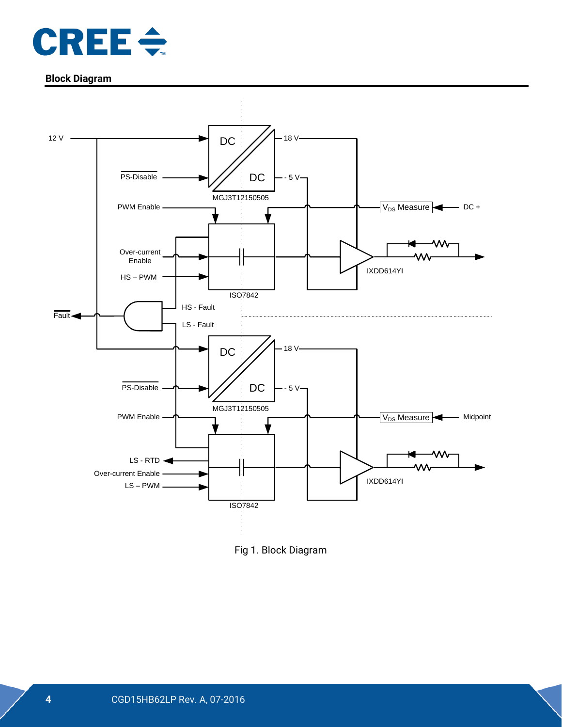

#### **Block Diagram**



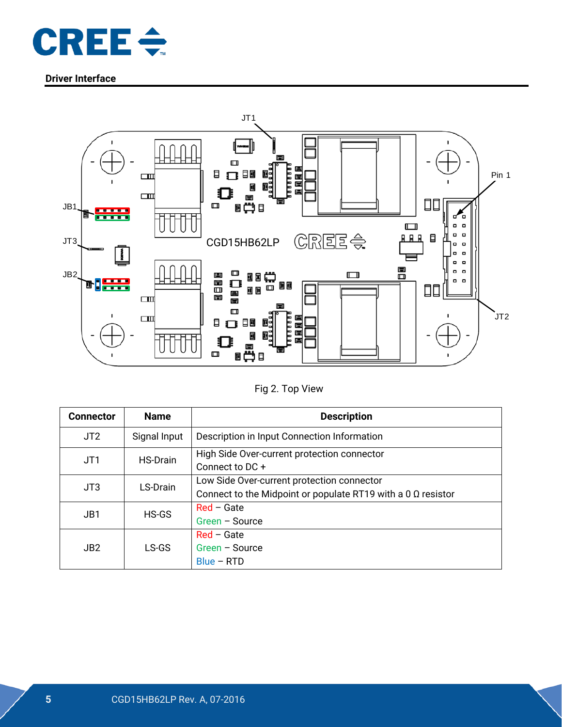

#### **Driver Interface**



#### Fig 2. Top View

| <b>Connector</b> | <b>Name</b>     | <b>Description</b>                                                                                                |
|------------------|-----------------|-------------------------------------------------------------------------------------------------------------------|
| JT <sub>2</sub>  | Signal Input    | Description in Input Connection Information                                                                       |
| JT1              | <b>HS-Drain</b> | High Side Over-current protection connector<br>Connect to DC+                                                     |
| JT3              | LS-Drain        | Low Side Over-current protection connector<br>Connect to the Midpoint or populate RT19 with a 0 $\Omega$ resistor |
| JB1              | HS-GS           | $Red - Gate$<br>Green - Source                                                                                    |
| JB2              | LS-GS           | $Red - Gate$<br>Green - Source<br>Blue - RTD                                                                      |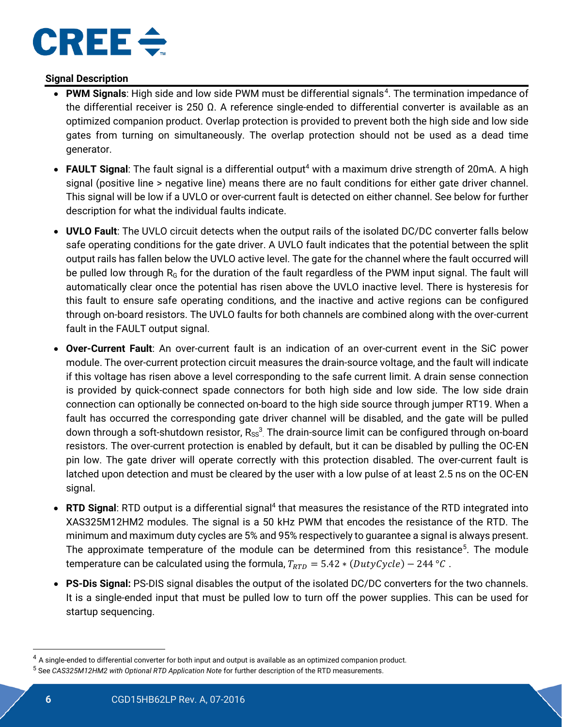

#### **Signal Description**

- <span id="page-5-0"></span>• PWM Signals: High side and low side PWM must be differential signals<sup>[4](#page-5-1)</sup>. The termination impedance of the differential receiver is 250 Ω. A reference single-ended to differential converter is available as an optimized companion product. Overlap protection is provided to prevent both the high side and low side gates from turning on simultaneously. The overlap protection should not be used as a dead time generator.
- **FAULT Signal**: The fault signal is a differential output<sup>4</sup> with a maximum drive strength of 20mA. A high signal (positive line > negative line) means there are no fault conditions for either gate driver channel. This signal will be low if a UVLO or over-current fault is detected on either channel. See below for further description for what the individual faults indicate.
- **UVLO Fault**: The UVLO circuit detects when the output rails of the isolated DC/DC converter falls below safe operating conditions for the gate driver. A UVLO fault indicates that the potential between the split output rails has fallen below the UVLO active level. The gate for the channel where the fault occurred will be pulled low through  $R<sub>G</sub>$  for the duration of the fault regardless of the PWM input signal. The fault will automatically clear once the potential has risen above the UVLO inactive level. There is hysteresis for this fault to ensure safe operating conditions, and the inactive and active regions can be configured through on-board resistors. The UVLO faults for both channels are combined along with the over-current fault in the FAULT output signal.
- **Over-Current Fault**: An over-current fault is an indication of an over-current event in the SiC power module. The over-current protection circuit measures the drain-source voltage, and the fault will indicate if this voltage has risen above a level corresponding to the safe current limit. A drain sense connection is provided by quick-connect spade connectors for both high side and low side. The low side drain connection can optionally be connected on-board to the high side source through jumper RT19. When a fault has occurred the corresponding gate driver channel will be disabled, and the gate will be pulled down through a soft-shutdown resistor,  $R_{ss}^3$  $R_{ss}^3$  The drain-source limit can be configured through on-board resistors. The over-current protection is enabled by default, but it can be disabled by pulling the OC-EN pin low. The gate driver will operate correctly with this protection disabled. The over-current fault is latched upon detection and must be cleared by the user with a low pulse of at least 2.5 ns on the OC-EN signal.
- **RTD Signal:** RTD output is a differential signal<sup>4</sup> that measures the resistance of the RTD integrated into XAS325M12HM2 modules. The signal is a 50 kHz PWM that encodes the resistance of the RTD. The minimum and maximum duty cycles are 5% and 95% respectively to guarantee a signal is always present. The approximate temperature of the module can be determined from this resistance<sup>[5](#page-5-2)</sup>. The module temperature can be calculated using the formula,  $T_{RTD} = 5.42 * (DutyCycle) - 244 °C$ .
- **PS-Dis Signal:** PS-DIS signal disables the output of the isolated DC/DC converters for the two channels. It is a single-ended input that must be pulled low to turn off the power supplies. This can be used for startup sequencing.

<span id="page-5-1"></span><sup>&</sup>lt;sup>4</sup> A single-ended to differential converter for both input and output is available as an optimized companion product.

<span id="page-5-2"></span><sup>5</sup> See *CAS325M12HM2 with Optional RTD Application Note* for further description of the RTD measurements.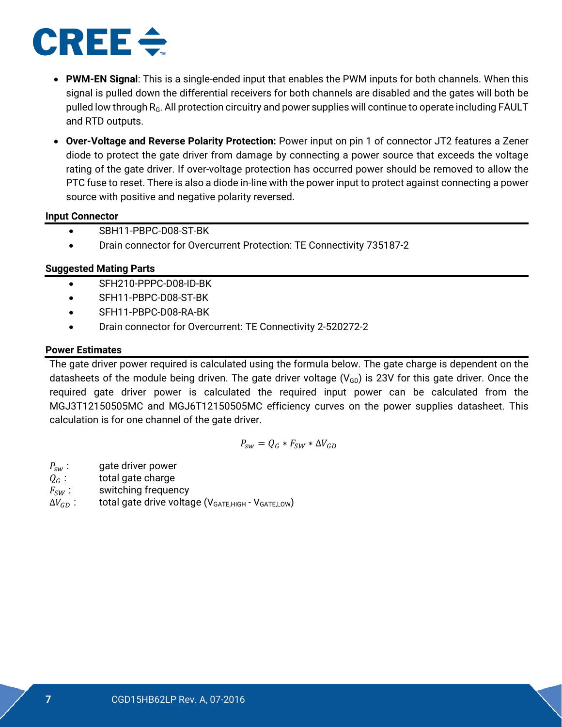# CREEé

- **PWM-EN Signal**: This is a single-ended input that enables the PWM inputs for both channels. When this signal is pulled down the differential receivers for both channels are disabled and the gates will both be pulled low through  $R_G$ . All protection circuitry and power supplies will continue to operate including FAULT and RTD outputs.
- **Over-Voltage and Reverse Polarity Protection:** Power input on pin 1 of connector JT2 features a Zener diode to protect the gate driver from damage by connecting a power source that exceeds the voltage rating of the gate driver. If over-voltage protection has occurred power should be removed to allow the PTC fuse to reset. There is also a diode in-line with the power input to protect against connecting a power source with positive and negative polarity reversed.

#### **Input Connector**

- SBH11-PBPC-D08-ST-BK
- Drain connector for Overcurrent Protection: TE Connectivity 735187-2

#### **Suggested Mating Parts**

- SFH210-PPPC-D08-ID-BK
- SFH11-PBPC-D08-ST-BK
- SFH11-PBPC-D08-RA-BK
- Drain connector for Overcurrent: TE Connectivity 2-520272-2

#### **Power Estimates**

The gate driver power required is calculated using the formula below. The gate charge is dependent on the datasheets of the module being driven. The gate driver voltage  $(V_{GD})$  is 23V for this gate driver. Once the required gate driver power is calculated the required input power can be calculated from the [MGJ3T12150505MC](http://power.murata.com/data/power/ncl/kdc_mgj3.pdf) and [MGJ6T12150505MC](http://power.murata.com/data/power/ncl/kdc_mgj6.pdf) efficiency curves on the power supplies datasheet. This calculation is for one channel of the gate driver.

$$
P_{sw} = Q_G * F_{SW} * \Delta V_{GD}
$$

- 
- $P_{sw}$ : gate driver power<br> $Q_G$ : total gate charge
- $Q_G$ : total gate charge<br> $F_{SW}$ : switching frequer  $F_{SW}$ : switching frequency<br> $\Delta V_{GD}$ : total gate drive volta
- total gate drive voltage ( $V_{GATE, HIGH}$   $V_{GATE,LOW}$ )